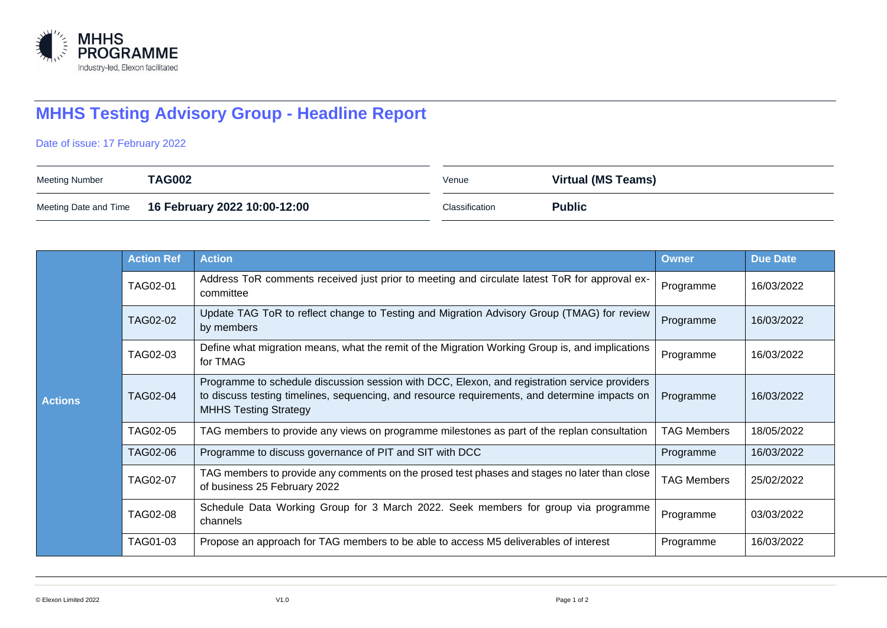

## **MHHS Testing Advisory Group - Headline Report**

Date of issue: 17 February 2022

| Meeting Number | <b>TAG002</b>                                      | Venue          | Virtual (MS Teams) |
|----------------|----------------------------------------------------|----------------|--------------------|
|                | Meeting Date and Time 16 February 2022 10:00-12:00 | Classification | <b>Public</b>      |

| <b>Actions</b> | <b>Action Ref</b> | <b>Action</b>                                                                                                                                                                                                                  | <b>Owner</b>       | <b>Due Date</b> |
|----------------|-------------------|--------------------------------------------------------------------------------------------------------------------------------------------------------------------------------------------------------------------------------|--------------------|-----------------|
|                | TAG02-01          | Address ToR comments received just prior to meeting and circulate latest ToR for approval ex-<br>committee                                                                                                                     | Programme          | 16/03/2022      |
|                | TAG02-02          | Update TAG ToR to reflect change to Testing and Migration Advisory Group (TMAG) for review<br>by members                                                                                                                       | Programme          | 16/03/2022      |
|                | TAG02-03          | Define what migration means, what the remit of the Migration Working Group is, and implications<br>for TMAG                                                                                                                    | Programme          | 16/03/2022      |
|                | <b>TAG02-04</b>   | Programme to schedule discussion session with DCC, Elexon, and registration service providers<br>to discuss testing timelines, sequencing, and resource requirements, and determine impacts on<br><b>MHHS Testing Strategy</b> |                    | 16/03/2022      |
|                | TAG02-05          | TAG members to provide any views on programme milestones as part of the replan consultation                                                                                                                                    | <b>TAG Members</b> | 18/05/2022      |
|                | <b>TAG02-06</b>   | Programme to discuss governance of PIT and SIT with DCC                                                                                                                                                                        | Programme          | 16/03/2022      |
|                | TAG02-07          | TAG members to provide any comments on the prosed test phases and stages no later than close<br>of business 25 February 2022                                                                                                   | <b>TAG Members</b> | 25/02/2022      |
|                | <b>TAG02-08</b>   | Schedule Data Working Group for 3 March 2022. Seek members for group via programme<br>channels                                                                                                                                 | Programme          | 03/03/2022      |
|                | TAG01-03          | Propose an approach for TAG members to be able to access M5 deliverables of interest                                                                                                                                           | Programme          | 16/03/2022      |